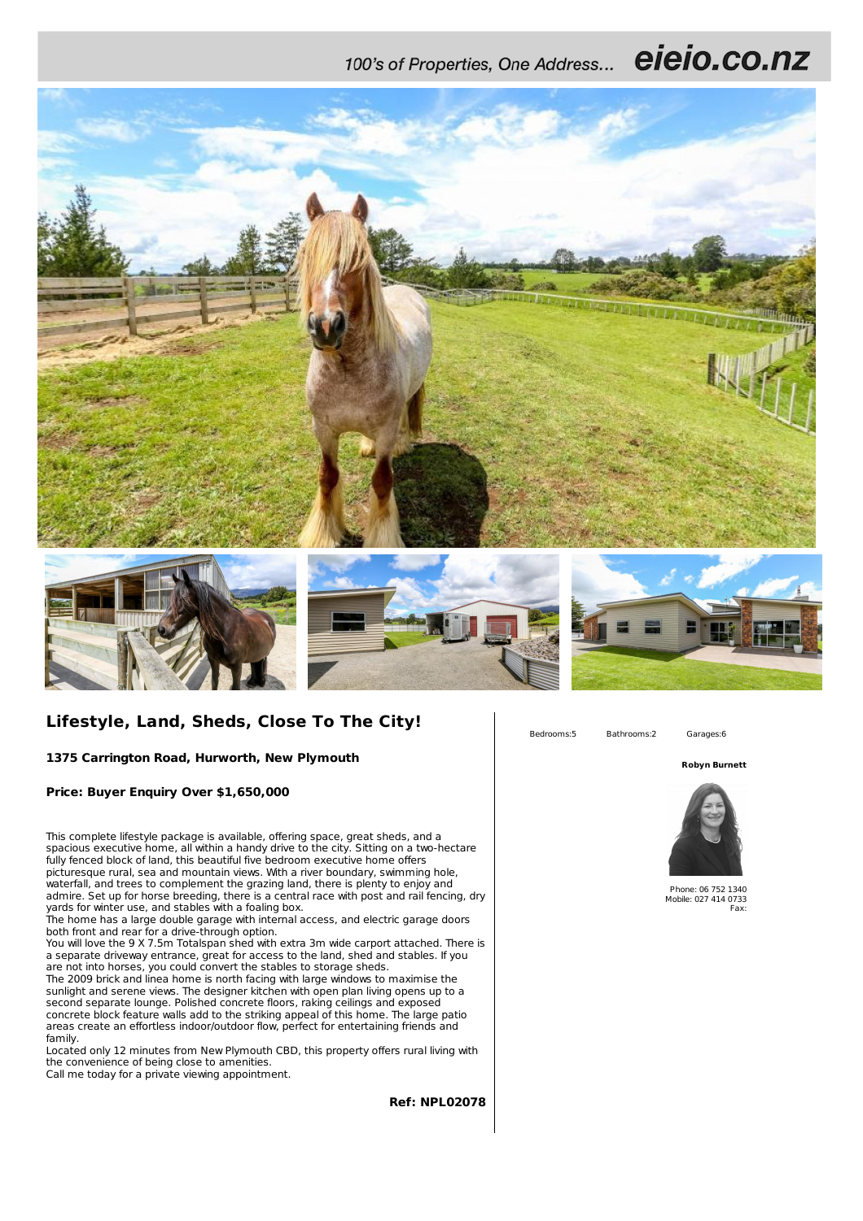100's of Properties, One Address... eieio.co.nz









## **Lifestyle, Land, Sheds, Close To The City!**

**1375 Carrington Road, Hurworth, New Plymouth**

**Price: Buyer Enquiry Over \$1,650,000**

This complete lifestyle package is available, offering space, great sheds, and a spacious executive home, all within a handy drive to the city. Sitting on a two-hectare fully fenced block of land, this beautiful five bedroom executive home offers picturesque rural, sea and mountain views. With a river boundary, swimming hole, waterfall, and trees to complement the grazing land, there is plenty to enjoy and admire. Set up for horse breeding, there is a central race with post and rail fencing, dry yards for winter use, and stables with a foaling box.

The home has a large double garage with internal access, and electric garage doors both front and rear for a drive-through option.

You will love the 9 X 7.5m Totalspan shed with extra 3m wide carport attached. There is a separate driveway entrance, great for access to the land, shed and stables. If you are not into horses, you could convert the stables to storage sheds.

The 2009 brick and linea home is north facing with large windows to maximise the sunlight and serene views. The designer kitchen with open plan living opens up to a second separate lounge. Polished concrete floors, raking ceilings and exposed concrete block feature walls add to the striking appeal of this home. The large patio areas create an effortless indoor/outdoor flow, perfect for entertaining friends and family.

Located only 12 minutes from New Plymouth CBD, this property offers rural living with the convenience of being close to amenities. Call me today for a private viewing appointment.

Bedrooms:5 Bathrooms:2 Garages:6

**Robyn Burnett**



Phone: 06 752 1340 Mobile: 027 414 0733 Fax:

**Ref: NPL02078**